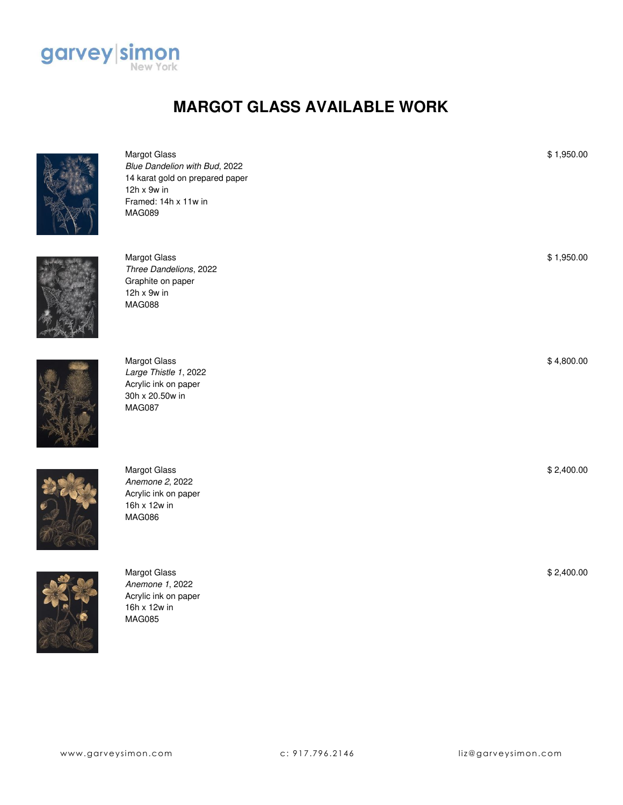

## **MARGOT GLASS AVAILABLE WORK**



\$ 1,950.00

\$ 1,950.00

\$ 4,800.00

\$ 2,400.00

\$ 2,400.00



16h x 12w in MAG085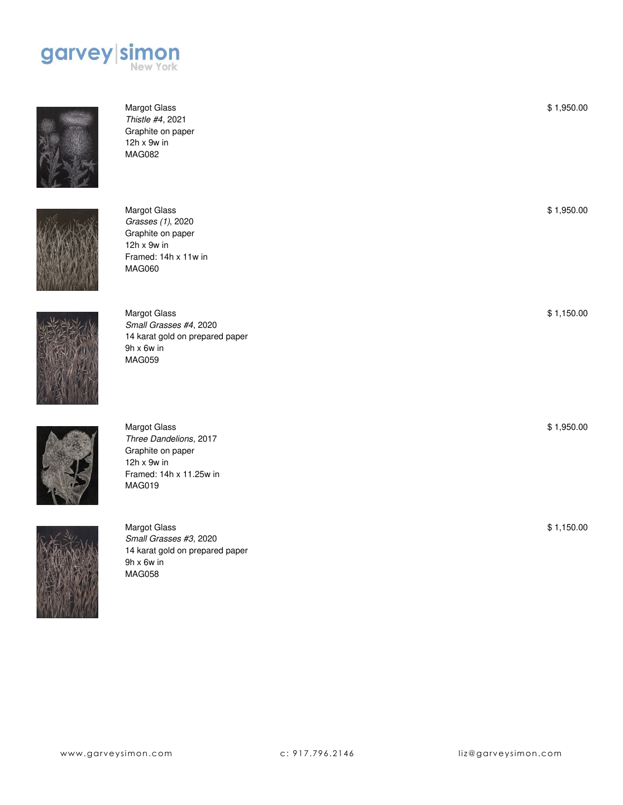



Margot Glass *Thistle #4*, 2021 Graphite on paper 12h x 9w in MAG082



Margot Glass *Grasses (1)*, 2020 Graphite on paper 12h x 9w in Framed: 14h x 11w in MAG060



Margot Glass *Small Grasses #4*, 2020 14 karat gold on prepared paper 9h x 6w in MAG059



Margot Glass *Three Dandelions*, 2017 Graphite on paper 12h x 9w in Framed: 14h x 11.25w in MAG019



Margot Glass *Small Grasses #3*, 2020 14 karat gold on prepared paper 9h x 6w in MAG058

\$ 1,950.00

\$ 1,950.00

\$ 1,950.00

\$ 1,150.00

\$ 1,150.00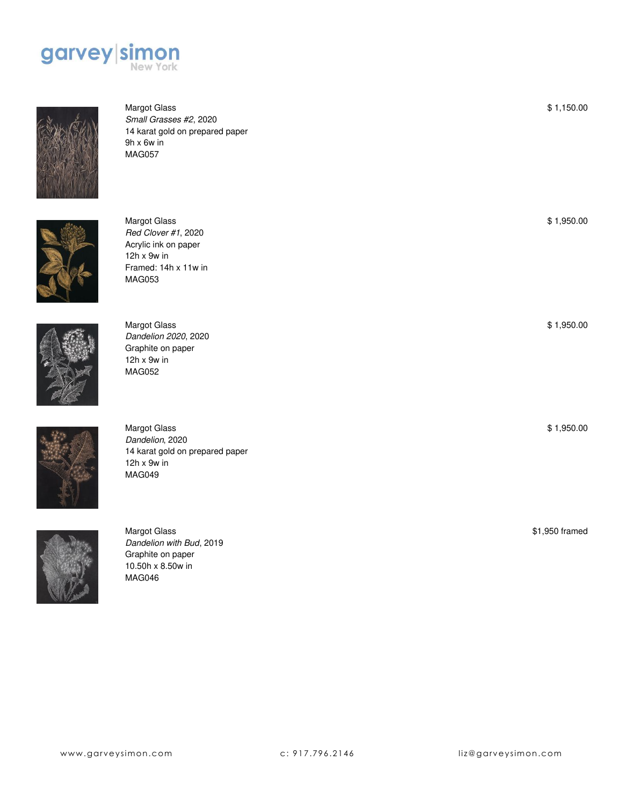



Margot Glass *Small Grasses #2*, 2020 14 karat gold on prepared paper 9h x 6w in MAG057



Margot Glass *Red Clover #1*, 2020 Acrylic ink on paper 12h x 9w in Framed: 14h x 11w in MAG053



Margot Glass *Dandelion 2020*, 2020 Graphite on paper 12h x 9w in MAG052



Margot Glass *Dandelion*, 2020 14 karat gold on prepared paper 12h x 9w in MAG049



Margot Glass *Dandelion with Bud*, 2019 Graphite on paper 10.50h x 8.50w in MAG046

\$1,950 framed

\$ 1,150.00

\$ 1,950.00

\$ 1,950.00

\$ 1,950.00

www.garveysimon.com c: 917.796.2146 liz@garveysimon.com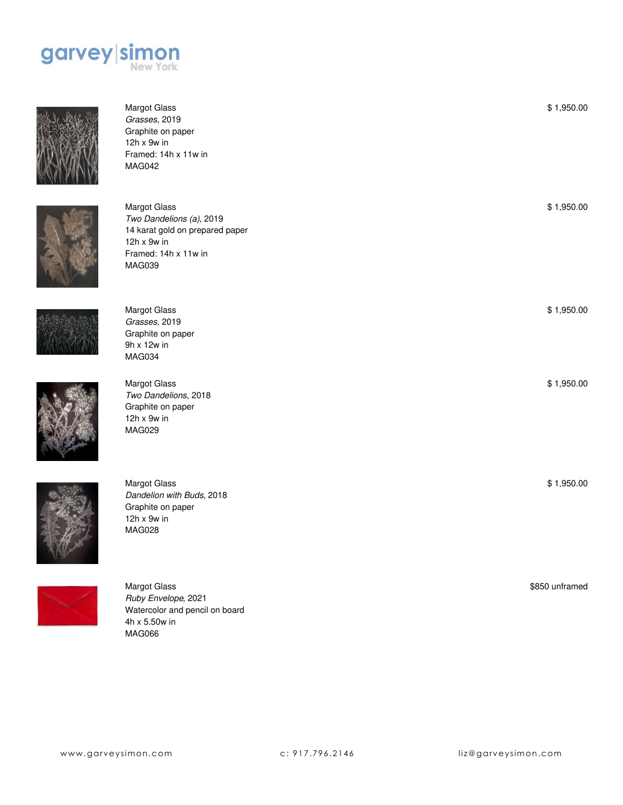

Margot Glass *Grasses*, 2019 Graphite on paper 12h x 9w in

MAG042

Margot Glass *Grasses*, 2019 Graphite on paper 9h x 12w in MAG034

Margot Glass

*Two Dandelions*, 2018 Graphite on paper 12h x 9w in MAG029

Framed: 14h x 11w in





Margot Glass *Two Dandelions (a)*, 2019 14 karat gold on prepared paper 12h x 9w in Framed: 14h x 11w in MAG039





Margot Glass *Dandelion with Buds*, 2018 Graphite on paper 12h x 9w in MAG028



Margot Glass *Ruby Envelope*, 2021 Watercolor and pencil on board 4h x 5.50w in MAG066

\$ 1,950.00 \$ 1,950.00

\$ 1,950.00

\$ 1,950.00

\$ 1,950.00

\$850 unframed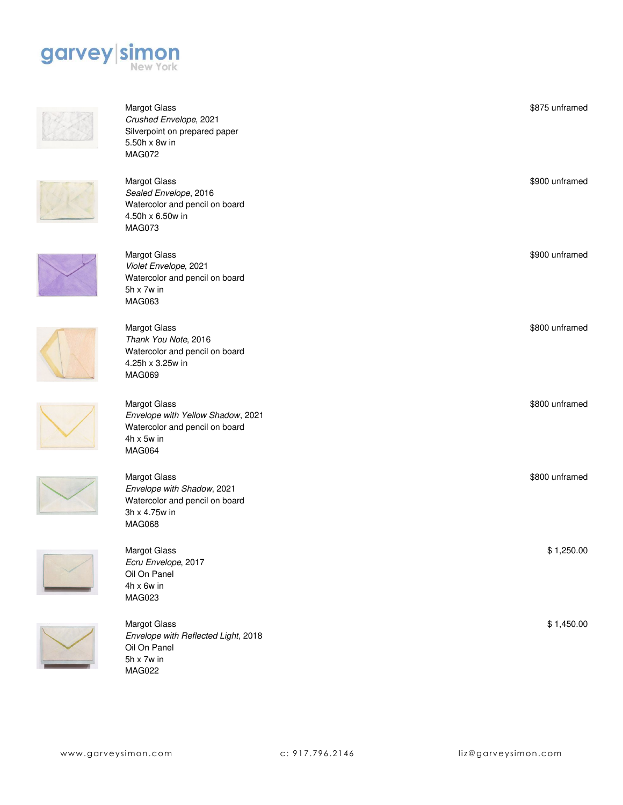



Margot Glass *Crushed Envelope*, 2021 Silverpoint on prepared paper 5.50h x 8w in MAG072



4.25h x 3.25w in MAG069

Margot Glass

3h x 4.75w in MAG068



*Envelope with Yellow Shadow*, 2021 Watercolor and pencil on board

Watercolor and pencil on board









Margot Glass *Ecru Envelope*, 2017 Oil On Panel 4h x 6w in MAG023



Margot Glass *Envelope with Reflected Light*, 2018 Oil On Panel 5h x 7w in MAG022

| <u>J.JUIIA UW III</u><br>MAG072                                                                                      |                |
|----------------------------------------------------------------------------------------------------------------------|----------------|
| <b>Margot Glass</b><br>Sealed Envelope, 2016<br>Watercolor and pencil on board<br>4.50h x 6.50w in<br>MAG073         | \$900 unframed |
| <b>Margot Glass</b><br>Violet Envelope, 2021<br>Watercolor and pencil on board<br>$5h \times 7w$ in<br><b>MAG063</b> | \$900 unframed |
| <b>Margot Glass</b><br>Thank You Note, 2016<br>Watercolor and pencil on board<br>4.25h x 3.25w in                    | \$800 unframed |

\$800 unframed

\$ 1,250.00

\$800 unframed

\$875 unframed

\$ 1,450.00

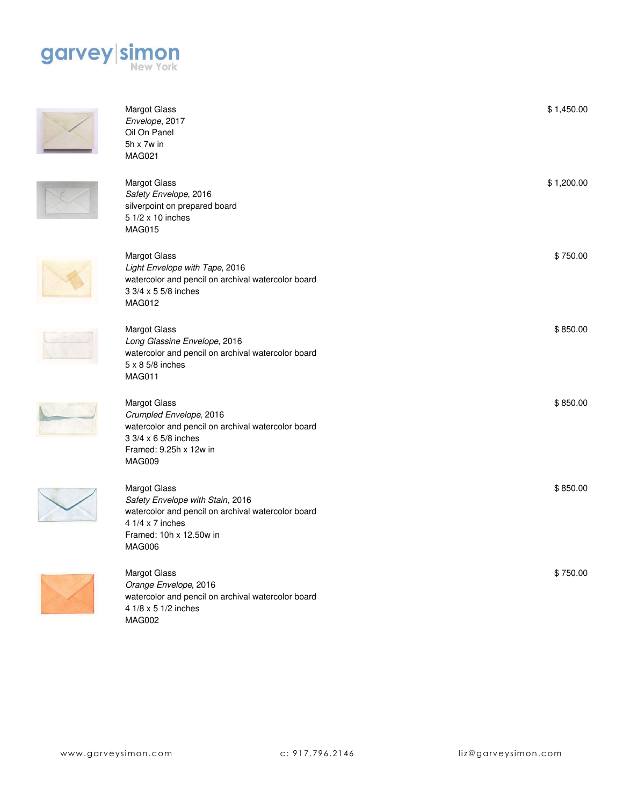





Margot Glass *Envelope*, 2017 Oil On Panel 5h x 7w in MAG021





Margot Glass *Light Envelope with Tape*, 2016 watercolor and pencil on archival watercolor board 3 3/4 x 5 5/8 inches MAG012



watercolor and pencil on archival watercolor board 5 x 8 5/8 inches MAG011 Margot Glass *Crumpled Envelope*, 2016 watercolor and pencil on archival watercolor board 3 3/4 x 6 5/8 inches



Margot Glass *Safety Envelope with Stain*, 2016 watercolor and pencil on archival watercolor board 4 1/4 x 7 inches Framed: 10h x 12.50w in MAG006



Margot Glass *Orange Envelope*, 2016 watercolor and pencil on archival watercolor board 4 1/8 x 5 1/2 inches MAG002

silverpoint on prepared board \$ 750.00 Margot Glass *Long Glassine Envelope*, 2016 \$ 850.00 Framed: 9.25h x 12w in MAG009 \$ 850.00

\$ 1,450.00

\$ 1,200.00

\$ 850.00

\$ 750.00